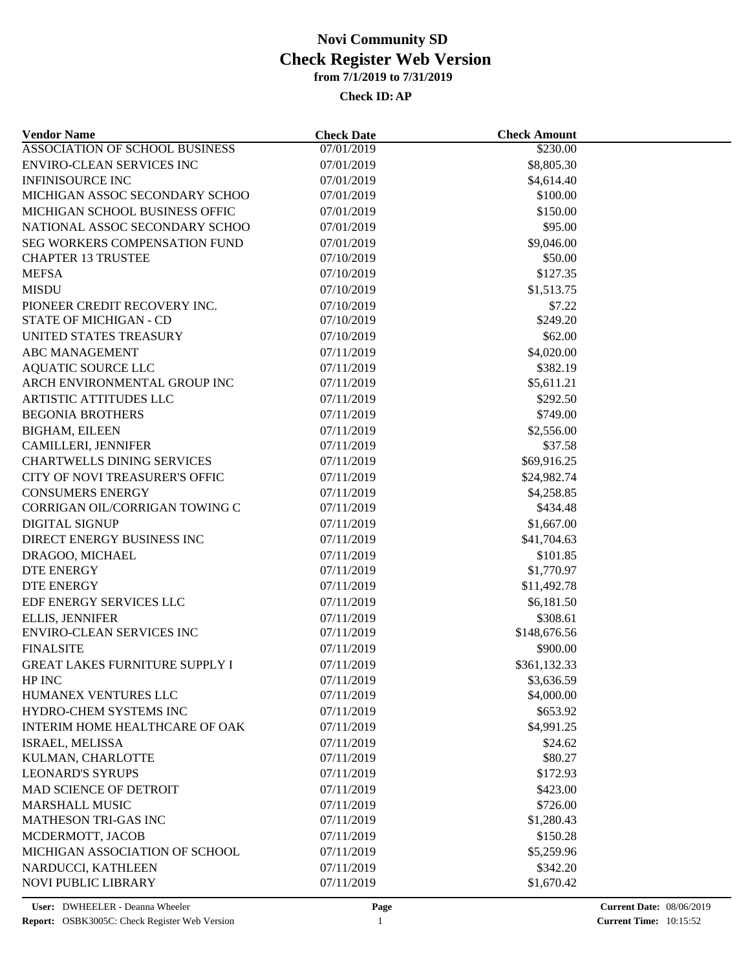| <b>Vendor Name</b>                    | <b>Check Date</b> | <b>Check Amount</b> |  |
|---------------------------------------|-------------------|---------------------|--|
| ASSOCIATION OF SCHOOL BUSINESS        | 07/01/2019        | \$230.00            |  |
| <b>ENVIRO-CLEAN SERVICES INC</b>      | 07/01/2019        | \$8,805.30          |  |
| <b>INFINISOURCE INC</b>               | 07/01/2019        | \$4,614.40          |  |
| MICHIGAN ASSOC SECONDARY SCHOO        | 07/01/2019        | \$100.00            |  |
| MICHIGAN SCHOOL BUSINESS OFFIC        | 07/01/2019        | \$150.00            |  |
| NATIONAL ASSOC SECONDARY SCHOO        | 07/01/2019        | \$95.00             |  |
| SEG WORKERS COMPENSATION FUND         | 07/01/2019        | \$9,046.00          |  |
| <b>CHAPTER 13 TRUSTEE</b>             | 07/10/2019        | \$50.00             |  |
| <b>MEFSA</b>                          | 07/10/2019        | \$127.35            |  |
| <b>MISDU</b>                          | 07/10/2019        | \$1,513.75          |  |
| PIONEER CREDIT RECOVERY INC.          | 07/10/2019        | \$7.22              |  |
| STATE OF MICHIGAN - CD                | 07/10/2019        | \$249.20            |  |
| UNITED STATES TREASURY                | 07/10/2019        | \$62.00             |  |
| <b>ABC MANAGEMENT</b>                 | 07/11/2019        | \$4,020.00          |  |
| <b>AQUATIC SOURCE LLC</b>             | 07/11/2019        | \$382.19            |  |
| ARCH ENVIRONMENTAL GROUP INC          | 07/11/2019        | \$5,611.21          |  |
| ARTISTIC ATTITUDES LLC                | 07/11/2019        | \$292.50            |  |
| <b>BEGONIA BROTHERS</b>               | 07/11/2019        | \$749.00            |  |
| <b>BIGHAM, EILEEN</b>                 | 07/11/2019        | \$2,556.00          |  |
| CAMILLERI, JENNIFER                   | 07/11/2019        | \$37.58             |  |
| <b>CHARTWELLS DINING SERVICES</b>     | 07/11/2019        | \$69,916.25         |  |
|                                       |                   |                     |  |
| CITY OF NOVI TREASURER'S OFFIC        | 07/11/2019        | \$24,982.74         |  |
| <b>CONSUMERS ENERGY</b>               | 07/11/2019        | \$4,258.85          |  |
| CORRIGAN OIL/CORRIGAN TOWING C        | 07/11/2019        | \$434.48            |  |
| <b>DIGITAL SIGNUP</b>                 | 07/11/2019        | \$1,667.00          |  |
| DIRECT ENERGY BUSINESS INC            | 07/11/2019        | \$41,704.63         |  |
| DRAGOO, MICHAEL                       | 07/11/2019        | \$101.85            |  |
| DTE ENERGY                            | 07/11/2019        | \$1,770.97          |  |
| <b>DTE ENERGY</b>                     | 07/11/2019        | \$11,492.78         |  |
| EDF ENERGY SERVICES LLC               | 07/11/2019        | \$6,181.50          |  |
| <b>ELLIS, JENNIFER</b>                | 07/11/2019        | \$308.61            |  |
| ENVIRO-CLEAN SERVICES INC             | 07/11/2019        | \$148,676.56        |  |
| <b>FINALSITE</b>                      | 07/11/2019        | \$900.00            |  |
| <b>GREAT LAKES FURNITURE SUPPLY I</b> | 07/11/2019        | \$361,132.33        |  |
| HP INC                                | 07/11/2019        | \$3,636.59          |  |
| HUMANEX VENTURES LLC                  | 07/11/2019        | \$4,000.00          |  |
| HYDRO-CHEM SYSTEMS INC                | 07/11/2019        | \$653.92            |  |
| <b>INTERIM HOME HEALTHCARE OF OAK</b> | 07/11/2019        | \$4,991.25          |  |
| ISRAEL, MELISSA                       | 07/11/2019        | \$24.62             |  |
| KULMAN, CHARLOTTE                     | 07/11/2019        | \$80.27             |  |
| <b>LEONARD'S SYRUPS</b>               | 07/11/2019        | \$172.93            |  |
| <b>MAD SCIENCE OF DETROIT</b>         | 07/11/2019        | \$423.00            |  |
| <b>MARSHALL MUSIC</b>                 | 07/11/2019        | \$726.00            |  |
| <b>MATHESON TRI-GAS INC</b>           | 07/11/2019        | \$1,280.43          |  |
| MCDERMOTT, JACOB                      | 07/11/2019        | \$150.28            |  |
| MICHIGAN ASSOCIATION OF SCHOOL        | 07/11/2019        | \$5,259.96          |  |
| NARDUCCI, KATHLEEN                    | 07/11/2019        | \$342.20            |  |
| NOVI PUBLIC LIBRARY                   | 07/11/2019        | \$1,670.42          |  |
|                                       |                   |                     |  |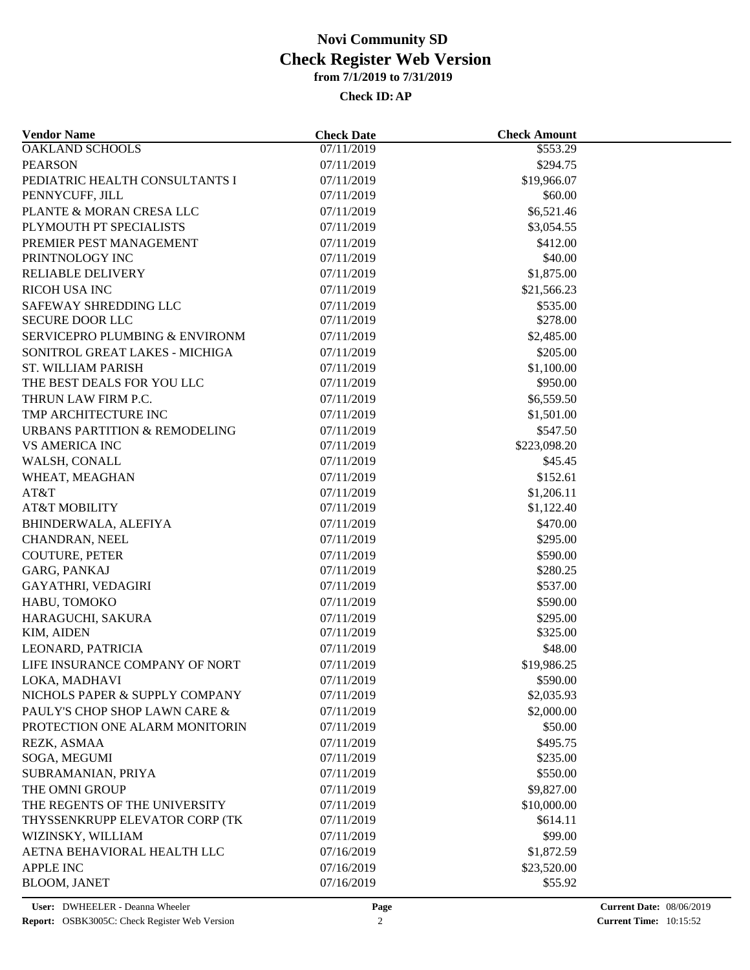| <b>Vendor Name</b>             | <b>Check Date</b>        | <b>Check Amount</b>    |  |
|--------------------------------|--------------------------|------------------------|--|
| <b>OAKLAND SCHOOLS</b>         | 07/11/2019               | $\overline{$}553.29$   |  |
| <b>PEARSON</b>                 | 07/11/2019               | \$294.75               |  |
| PEDIATRIC HEALTH CONSULTANTS I | 07/11/2019               | \$19,966.07            |  |
| PENNYCUFF, JILL                | 07/11/2019               | \$60.00                |  |
| PLANTE & MORAN CRESA LLC       | 07/11/2019               | \$6,521.46             |  |
| PLYMOUTH PT SPECIALISTS        | 07/11/2019               | \$3,054.55             |  |
| PREMIER PEST MANAGEMENT        | 07/11/2019               | \$412.00               |  |
| PRINTNOLOGY INC                | 07/11/2019               | \$40.00                |  |
| <b>RELIABLE DELIVERY</b>       | 07/11/2019               | \$1,875.00             |  |
| RICOH USA INC                  | 07/11/2019               | \$21,566.23            |  |
| SAFEWAY SHREDDING LLC          | 07/11/2019               | \$535.00               |  |
| SECURE DOOR LLC                | 07/11/2019               | \$278.00               |  |
| SERVICEPRO PLUMBING & ENVIRONM | 07/11/2019               | \$2,485.00             |  |
| SONITROL GREAT LAKES - MICHIGA | 07/11/2019               | \$205.00               |  |
| <b>ST. WILLIAM PARISH</b>      | 07/11/2019               | \$1,100.00             |  |
| THE BEST DEALS FOR YOU LLC     | 07/11/2019               | \$950.00               |  |
| THRUN LAW FIRM P.C.            | 07/11/2019               | \$6,559.50             |  |
| TMP ARCHITECTURE INC           | 07/11/2019               | \$1,501.00             |  |
| URBANS PARTITION & REMODELING  | 07/11/2019               | \$547.50               |  |
| <b>VS AMERICA INC</b>          | 07/11/2019               | \$223,098.20           |  |
| WALSH, CONALL                  | 07/11/2019               | \$45.45                |  |
| WHEAT, MEAGHAN                 | 07/11/2019               | \$152.61               |  |
| AT&T                           | 07/11/2019               | \$1,206.11             |  |
| AT&T MOBILITY                  | 07/11/2019               | \$1,122.40             |  |
| BHINDERWALA, ALEFIYA           | 07/11/2019               | \$470.00               |  |
| CHANDRAN, NEEL                 | 07/11/2019               | \$295.00               |  |
| <b>COUTURE, PETER</b>          | 07/11/2019               | \$590.00               |  |
| GARG, PANKAJ                   | 07/11/2019               | \$280.25               |  |
| <b>GAYATHRI, VEDAGIRI</b>      | 07/11/2019               | \$537.00               |  |
| HABU, TOMOKO                   | 07/11/2019               | \$590.00               |  |
| HARAGUCHI, SAKURA              | 07/11/2019               | \$295.00               |  |
| KIM, AIDEN                     | 07/11/2019               | \$325.00               |  |
| LEONARD, PATRICIA              | 07/11/2019               | \$48.00                |  |
| LIFE INSURANCE COMPANY OF NORT | 07/11/2019               | \$19,986.25            |  |
| LOKA, MADHAVI                  |                          |                        |  |
| NICHOLS PAPER & SUPPLY COMPANY | 07/11/2019<br>07/11/2019 | \$590.00<br>\$2,035.93 |  |
| PAULY'S CHOP SHOP LAWN CARE &  |                          |                        |  |
|                                | 07/11/2019               | \$2,000.00             |  |
| PROTECTION ONE ALARM MONITORIN | 07/11/2019               | \$50.00                |  |
| REZK, ASMAA                    | 07/11/2019               | \$495.75               |  |
| SOGA, MEGUMI                   | 07/11/2019               | \$235.00               |  |
| SUBRAMANIAN, PRIYA             | 07/11/2019               | \$550.00               |  |
| THE OMNI GROUP                 | 07/11/2019               | \$9,827.00             |  |
| THE REGENTS OF THE UNIVERSITY  | 07/11/2019               | \$10,000.00            |  |
| THYSSENKRUPP ELEVATOR CORP (TK | 07/11/2019               | \$614.11               |  |
| WIZINSKY, WILLIAM              | 07/11/2019               | \$99.00                |  |
| AETNA BEHAVIORAL HEALTH LLC    | 07/16/2019               | \$1,872.59             |  |
| <b>APPLE INC</b>               | 07/16/2019               | \$23,520.00            |  |
| <b>BLOOM, JANET</b>            | 07/16/2019               | \$55.92                |  |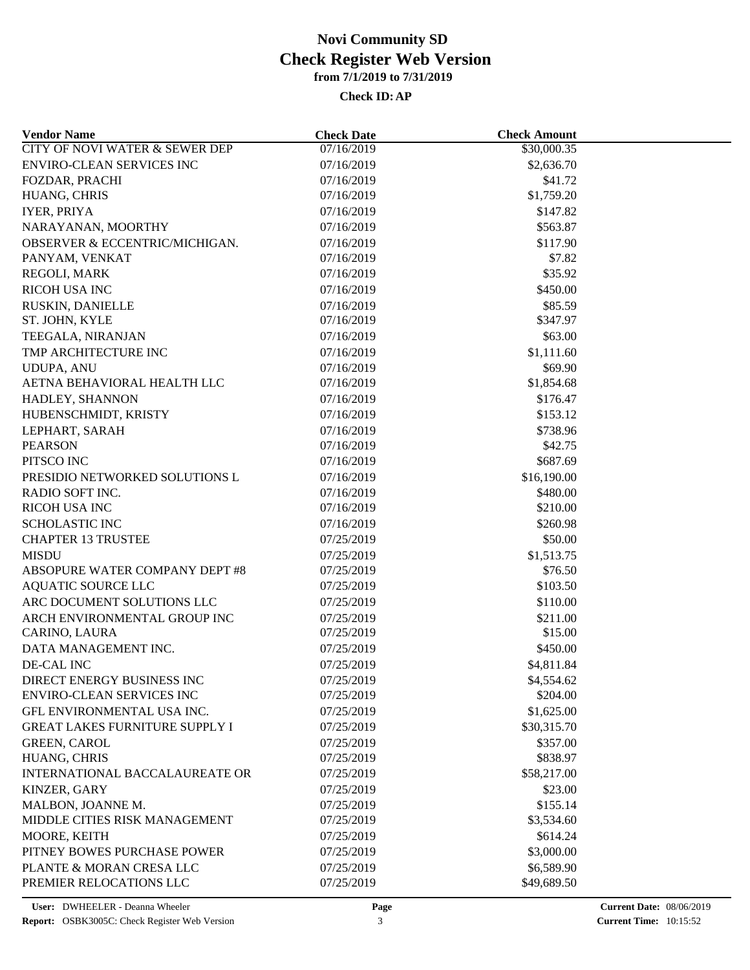| <b>Vendor Name</b>                        | <b>Check Date</b> | <b>Check Amount</b>     |  |
|-------------------------------------------|-------------------|-------------------------|--|
| <b>CITY OF NOVI WATER &amp; SEWER DEP</b> | 07/16/2019        | $\overline{$}30,000.35$ |  |
| <b>ENVIRO-CLEAN SERVICES INC</b>          | 07/16/2019        | \$2,636.70              |  |
| FOZDAR, PRACHI                            | 07/16/2019        | \$41.72                 |  |
| HUANG, CHRIS                              | 07/16/2019        | \$1,759.20              |  |
| <b>IYER, PRIYA</b>                        | 07/16/2019        | \$147.82                |  |
| NARAYANAN, MOORTHY                        | 07/16/2019        | \$563.87                |  |
| OBSERVER & ECCENTRIC/MICHIGAN.            | 07/16/2019        | \$117.90                |  |
| PANYAM, VENKAT                            | 07/16/2019        | \$7.82                  |  |
| REGOLI, MARK                              | 07/16/2019        | \$35.92                 |  |
| RICOH USA INC                             | 07/16/2019        | \$450.00                |  |
| RUSKIN, DANIELLE                          | 07/16/2019        | \$85.59                 |  |
| ST. JOHN, KYLE                            | 07/16/2019        | \$347.97                |  |
| TEEGALA, NIRANJAN                         | 07/16/2019        | \$63.00                 |  |
| TMP ARCHITECTURE INC                      | 07/16/2019        | \$1,111.60              |  |
| <b>UDUPA, ANU</b>                         | 07/16/2019        | \$69.90                 |  |
| AETNA BEHAVIORAL HEALTH LLC               | 07/16/2019        | \$1,854.68              |  |
| HADLEY, SHANNON                           | 07/16/2019        | \$176.47                |  |
| HUBENSCHMIDT, KRISTY                      | 07/16/2019        | \$153.12                |  |
| LEPHART, SARAH                            | 07/16/2019        | \$738.96                |  |
| <b>PEARSON</b>                            | 07/16/2019        | \$42.75                 |  |
| PITSCO INC                                | 07/16/2019        | \$687.69                |  |
| PRESIDIO NETWORKED SOLUTIONS L            | 07/16/2019        | \$16,190.00             |  |
| RADIO SOFT INC.                           | 07/16/2019        | \$480.00                |  |
| RICOH USA INC                             | 07/16/2019        | \$210.00                |  |
| <b>SCHOLASTIC INC</b>                     | 07/16/2019        | \$260.98                |  |
| <b>CHAPTER 13 TRUSTEE</b>                 | 07/25/2019        | \$50.00                 |  |
|                                           |                   |                         |  |
| <b>MISDU</b>                              | 07/25/2019        | \$1,513.75<br>\$76.50   |  |
| ABSOPURE WATER COMPANY DEPT #8            | 07/25/2019        |                         |  |
| <b>AQUATIC SOURCE LLC</b>                 | 07/25/2019        | \$103.50                |  |
| ARC DOCUMENT SOLUTIONS LLC                | 07/25/2019        | \$110.00                |  |
| ARCH ENVIRONMENTAL GROUP INC              | 07/25/2019        | \$211.00                |  |
| CARINO, LAURA                             | 07/25/2019        | \$15.00                 |  |
| DATA MANAGEMENT INC.                      | 07/25/2019        | \$450.00                |  |
| DE-CAL INC                                | 07/25/2019        | \$4,811.84              |  |
| DIRECT ENERGY BUSINESS INC                | 07/25/2019        | \$4,554.62              |  |
| ENVIRO-CLEAN SERVICES INC                 | 07/25/2019        | \$204.00                |  |
| GFL ENVIRONMENTAL USA INC.                | 07/25/2019        | \$1,625.00              |  |
| <b>GREAT LAKES FURNITURE SUPPLY I</b>     | 07/25/2019        | \$30,315.70             |  |
| <b>GREEN, CAROL</b>                       | 07/25/2019        | \$357.00                |  |
| HUANG, CHRIS                              | 07/25/2019        | \$838.97                |  |
| INTERNATIONAL BACCALAUREATE OR            | 07/25/2019        | \$58,217.00             |  |
| KINZER, GARY                              | 07/25/2019        | \$23.00                 |  |
| MALBON, JOANNE M.                         | 07/25/2019        | \$155.14                |  |
| MIDDLE CITIES RISK MANAGEMENT             | 07/25/2019        | \$3,534.60              |  |
| MOORE, KEITH                              | 07/25/2019        | \$614.24                |  |
| PITNEY BOWES PURCHASE POWER               | 07/25/2019        | \$3,000.00              |  |
| PLANTE & MORAN CRESA LLC                  | 07/25/2019        | \$6,589.90              |  |
| PREMIER RELOCATIONS LLC                   | 07/25/2019        | \$49,689.50             |  |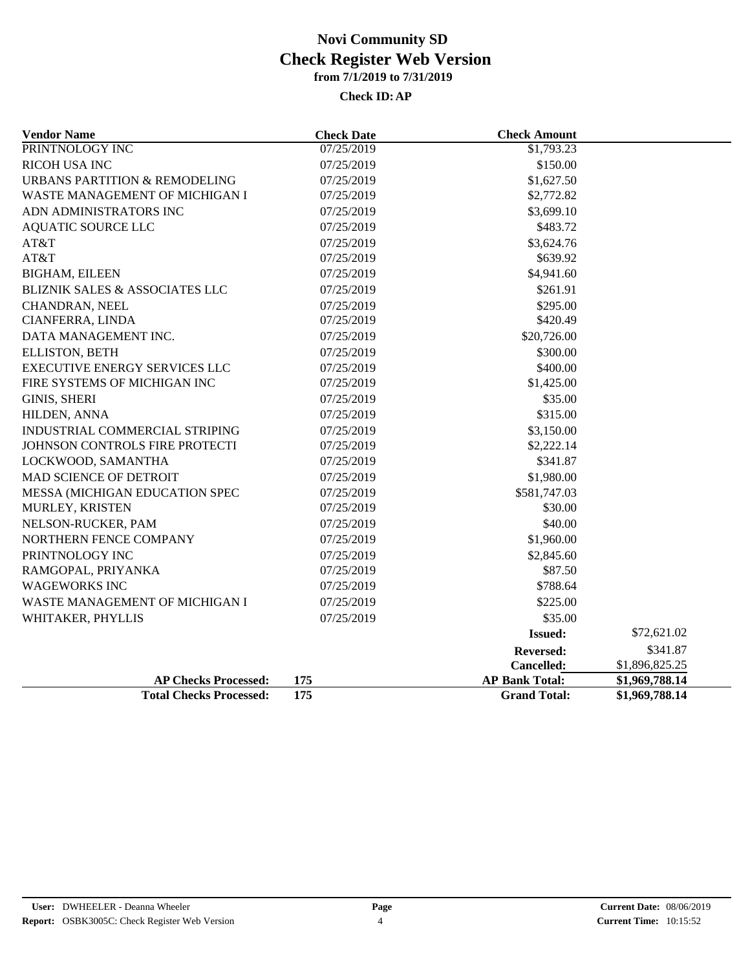| <b>Vendor Name</b>                       | <b>Check Date</b>        | <b>Check Amount</b>   |                |
|------------------------------------------|--------------------------|-----------------------|----------------|
| PRINTNOLOGY INC                          | 07/25/2019               | \$1,793.23            |                |
| <b>RICOH USA INC</b>                     | \$150.00<br>07/25/2019   |                       |                |
| <b>URBANS PARTITION &amp; REMODELING</b> | 07/25/2019<br>\$1,627.50 |                       |                |
| WASTE MANAGEMENT OF MICHIGAN I           | 07/25/2019               | \$2,772.82            |                |
| ADN ADMINISTRATORS INC                   | 07/25/2019<br>\$3,699.10 |                       |                |
| <b>AQUATIC SOURCE LLC</b>                | 07/25/2019               | \$483.72              |                |
| AT&T                                     | 07/25/2019<br>\$3,624.76 |                       |                |
| AT&T                                     | 07/25/2019               | \$639.92              |                |
| <b>BIGHAM, EILEEN</b>                    | 07/25/2019<br>\$4,941.60 |                       |                |
| BLIZNIK SALES & ASSOCIATES LLC           | 07/25/2019               | \$261.91              |                |
| CHANDRAN, NEEL                           | 07/25/2019               | \$295.00              |                |
| CIANFERRA, LINDA                         | 07/25/2019               | \$420.49              |                |
| DATA MANAGEMENT INC.                     | 07/25/2019               | \$20,726.00           |                |
| <b>ELLISTON, BETH</b>                    | 07/25/2019               | \$300.00              |                |
| <b>EXECUTIVE ENERGY SERVICES LLC</b>     | 07/25/2019               | \$400.00              |                |
| FIRE SYSTEMS OF MICHIGAN INC             | 07/25/2019               | \$1,425.00            |                |
| <b>GINIS, SHERI</b>                      | 07/25/2019               | \$35.00               |                |
| HILDEN, ANNA                             | 07/25/2019               | \$315.00              |                |
| INDUSTRIAL COMMERCIAL STRIPING           | 07/25/2019               | \$3,150.00            |                |
| JOHNSON CONTROLS FIRE PROTECTI           | 07/25/2019               | \$2,222.14            |                |
| LOCKWOOD, SAMANTHA                       | 07/25/2019               | \$341.87              |                |
| <b>MAD SCIENCE OF DETROIT</b>            | 07/25/2019               | \$1,980.00            |                |
| MESSA (MICHIGAN EDUCATION SPEC           | 07/25/2019               | \$581,747.03          |                |
| MURLEY, KRISTEN                          | 07/25/2019               | \$30.00               |                |
| NELSON-RUCKER, PAM                       | 07/25/2019               | \$40.00               |                |
| NORTHERN FENCE COMPANY                   | 07/25/2019               | \$1,960.00            |                |
| PRINTNOLOGY INC                          | 07/25/2019               | \$2,845.60            |                |
| RAMGOPAL, PRIYANKA                       | 07/25/2019               | \$87.50               |                |
| <b>WAGEWORKS INC</b>                     | 07/25/2019               | \$788.64              |                |
| WASTE MANAGEMENT OF MICHIGAN I           | 07/25/2019               | \$225.00              |                |
| WHITAKER, PHYLLIS                        | 07/25/2019               | \$35.00               |                |
|                                          |                          | <b>Issued:</b>        | \$72,621.02    |
|                                          |                          | <b>Reversed:</b>      | \$341.87       |
|                                          |                          | Cancelled:            | \$1,896,825.25 |
| <b>AP Checks Processed:</b>              | 175                      | <b>AP Bank Total:</b> | \$1,969,788.14 |
| <b>Total Checks Processed:</b>           | 175                      | <b>Grand Total:</b>   | \$1,969,788.14 |